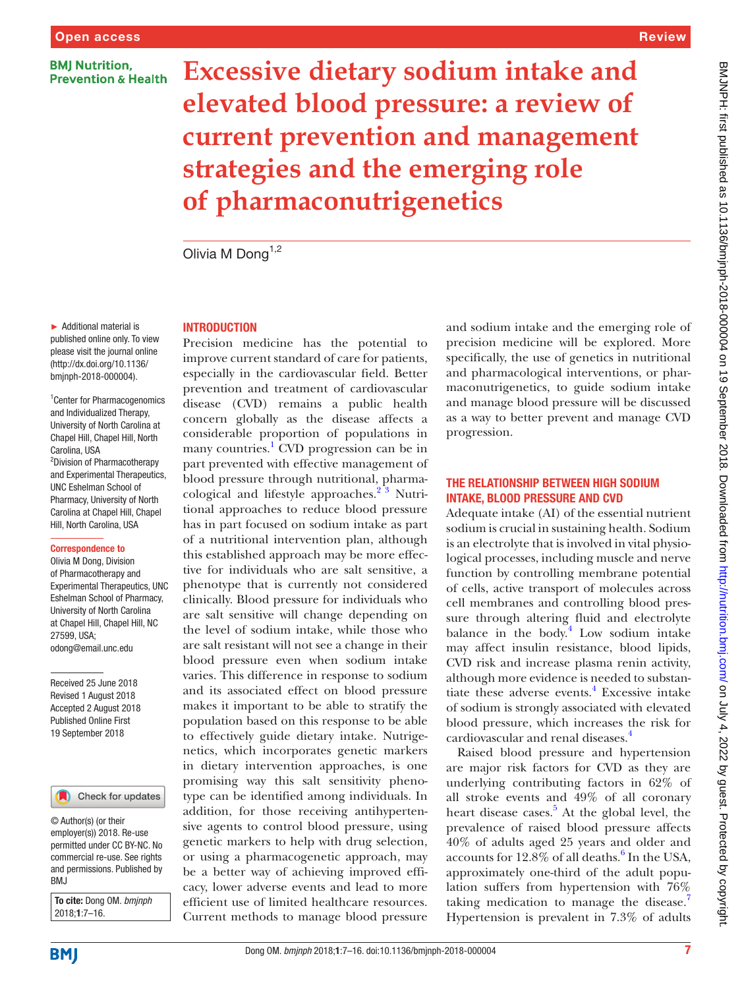**BMI Nutrition. Prevention & Health**  Review

# **Excessive dietary sodium intake and elevated blood pressure: a review of current prevention and management strategies and the emerging role of pharmaconutrigenetics**

Olivia M Dong<sup>1,2</sup>

### **INTRODUCTION**

Precision medicine has the potential to improve current standard of care for patients, especially in the cardiovascular field. Better prevention and treatment of cardiovascular disease (CVD) remains a public health concern globally as the disease affects a considerable proportion of populations in many countries.<sup>[1](#page-7-0)</sup> CVD progression can be in part prevented with effective management of blood pressure through nutritional, pharmacological and lifestyle approaches.<sup>2'3</sup> Nutritional approaches to reduce blood pressure has in part focused on sodium intake as part of a nutritional intervention plan, although this established approach may be more effective for individuals who are salt sensitive, a phenotype that is currently not considered clinically. Blood pressure for individuals who are salt sensitive will change depending on the level of sodium intake, while those who are salt resistant will not see a change in their blood pressure even when sodium intake varies. This difference in response to sodium and its associated effect on blood pressure makes it important to be able to stratify the population based on this response to be able to effectively guide dietary intake. Nutrigenetics, which incorporates genetic markers in dietary intervention approaches, is one promising way this salt sensitivity phenotype can be identified among individuals. In addition, for those receiving antihypertensive agents to control blood pressure, using genetic markers to help with drug selection, or using a pharmacogenetic approach, may be a better way of achieving improved efficacy, lower adverse events and lead to more efficient use of limited healthcare resources.

and sodium intake and the emerging role of precision medicine will be explored. More specifically, the use of genetics in nutritional and pharmacological interventions, or pharmaconutrigenetics, to guide sodium intake and manage blood pressure will be discussed as a way to better prevent and manage CVD progression.

#### The relationship between high sodium intake, blood pressure and CVD

Adequate intake (AI) of the essential nutrient sodium is crucial in sustaining health. Sodium is an electrolyte that is involved in vital physiological processes, including muscle and nerve function by controlling membrane potential of cells, active transport of molecules across cell membranes and controlling blood pressure through altering fluid and electrolyte balance in the body. $4$  Low sodium intake may affect insulin resistance, blood lipids, CVD risk and increase plasma renin activity, although more evidence is needed to substantiate these adverse events.<sup>4</sup> Excessive intake of sodium is strongly associated with elevated blood pressure, which increases the risk for cardiovascular and renal diseases.<sup>4</sup>

Raised blood pressure and hypertension are major risk factors for CVD as they are underlying contributing factors in 62% of all stroke events and 49% of all coronary heart disease cases.<sup>5</sup> At the global level, the prevalence of raised blood pressure affects 40% of adults aged 25 years and older and accounts for 12.8% of all deaths.<sup>[6](#page-7-4)</sup> In the USA, approximately one-third of the adult population suffers from hypertension with 76% taking medication to manage the disease.<sup>7</sup> Hypertension is prevalent in 7.3% of adults

► Additional material is published online only. To view please visit the journal online (http://dx.doi.org/10.1136/ bmjnph-2018-000004).

1 Center for Pharmacogenomics and Individualized Therapy, University of North Carolina at Chapel Hill, Chapel Hill, North Carolina, USA 2 Division of Pharmacotherapy and Experimental Therapeutics, UNC Eshelman School of Pharmacy, University of North Carolina at Chapel Hill, Chapel Hill, North Carolina, USA

#### Correspondence to

Olivia M Dong, Division of Pharmacotherapy and Experimental Therapeutics, UNC Eshelman School of Pharmacy, University of North Carolina at Chapel Hill, Chapel Hill, NC 27599, USA; odong@email.unc.edu

Received 25 June 2018 Revised 1 August 2018 Accepted 2 August 2018 Published Online First 19 September 2018

#### Check for updates

© Author(s) (or their employer(s)) 2018. Re-use permitted under CC BY-NC. No commercial re-use. See rights and permissions. Published by BMJ

To cite: Dong OM. *bmjnph* 2018;1:7–16.

Current methods to manage blood pressure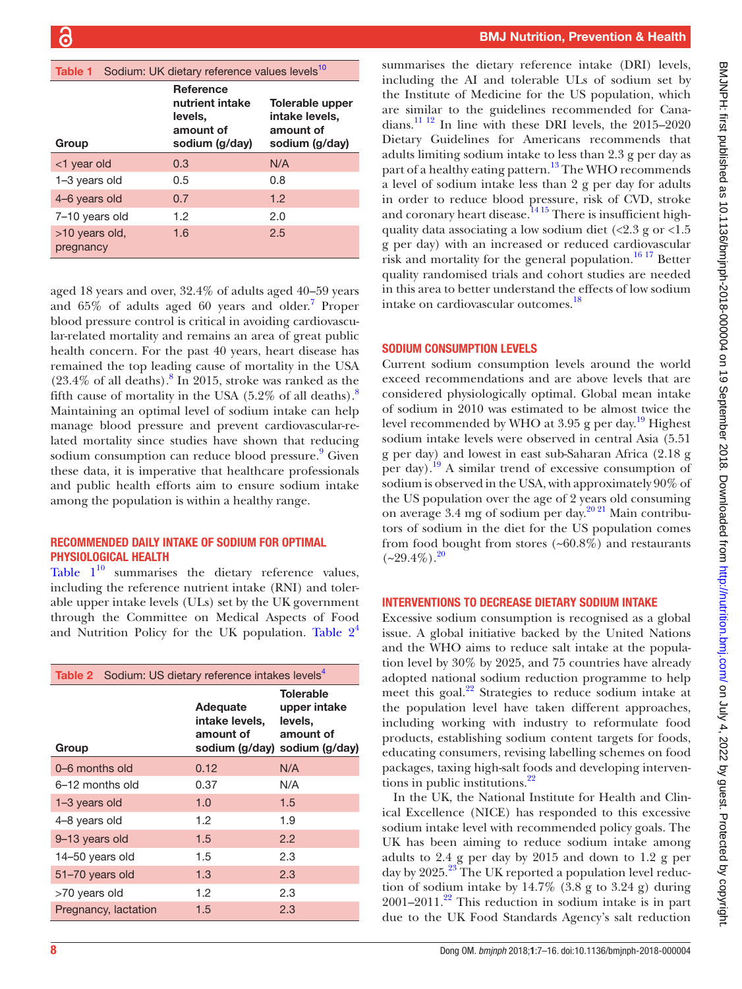<span id="page-1-0"></span>

| Sodium: UK dietary reference values levels <sup>10</sup><br>Table 1 |                                                                               |                                                                  |  |  |
|---------------------------------------------------------------------|-------------------------------------------------------------------------------|------------------------------------------------------------------|--|--|
| Group                                                               | <b>Reference</b><br>nutrient intake<br>levels,<br>amount of<br>sodium (g/day) | Tolerable upper<br>intake levels,<br>amount of<br>sodium (g/day) |  |  |
| <1 year old                                                         | 0.3                                                                           | N/A                                                              |  |  |
| 1-3 years old                                                       | 0.5                                                                           | 0.8                                                              |  |  |
| 4-6 years old                                                       | 0.7                                                                           | 1.2                                                              |  |  |
| 7-10 years old                                                      | 1.2                                                                           | 2.0                                                              |  |  |
| >10 years old,<br>pregnancy                                         | 1.6                                                                           | 2.5                                                              |  |  |

aged 18 years and over, 32.4% of adults aged 40–59 years and 65% of adults aged 60 years and older.<sup>[7](#page-7-5)</sup> Proper blood pressure control is critical in avoiding cardiovascular-related mortality and remains an area of great public health concern. For the past 40 years, heart disease has remained the top leading cause of mortality in the USA  $(23.4\% \text{ of all deaths}).$ <sup>[8](#page-7-7)</sup> In 2015, stroke was ranked as the fifth cause of mortality in the USA  $(5.2\% \text{ of all deaths})$ .<sup>[8](#page-7-7)</sup> Maintaining an optimal level of sodium intake can help manage blood pressure and prevent cardiovascular-related mortality since studies have shown that reducing sodium consumption can reduce blood pressure.<sup>[9](#page-7-8)</sup> Given these data, it is imperative that healthcare professionals and public health efforts aim to ensure sodium intake among the population is within a healthy range.

#### Recommended daily intake of sodium for optimal physiological health

[Table](#page-1-0)  $1^{10}$  $1^{10}$  $1^{10}$  summarises the dietary reference values, including the reference nutrient intake (RNI) and tolerable upper intake levels (ULs) set by the UK government through the Committee on Medical Aspects of Food and Nutrition Policy for the UK population. [Table](#page-1-1)  $2^4$  $2^4$ 

<span id="page-1-1"></span>

| Table 2 Sodium: US dietary reference intakes levels <sup>4</sup> |                                         |                                                                                    |  |  |
|------------------------------------------------------------------|-----------------------------------------|------------------------------------------------------------------------------------|--|--|
| Group                                                            | Adequate<br>intake levels,<br>amount of | Tolerable<br>upper intake<br>levels,<br>amount of<br>sodium (g/day) sodium (g/day) |  |  |
| 0-6 months old                                                   | 0.12                                    | N/A                                                                                |  |  |
| 6–12 months old                                                  | 0.37                                    | N/A                                                                                |  |  |
| 1–3 years old                                                    | 1.0                                     | 1.5                                                                                |  |  |
| 4-8 years old                                                    | 1.2                                     | 1.9                                                                                |  |  |
| 9-13 years old                                                   | 1.5                                     | 2.2                                                                                |  |  |
| 14–50 years old                                                  | 1.5                                     | 2.3                                                                                |  |  |
| 51-70 years old                                                  | 1.3                                     | 2.3                                                                                |  |  |
| >70 years old                                                    | 1.2 <sub>2</sub>                        | 2.3                                                                                |  |  |
| Pregnancy, lactation                                             | 1.5                                     | 2.3                                                                                |  |  |

summarises the dietary reference intake (DRI) levels, including the AI and tolerable ULs of sodium set by the Institute of Medicine for the US population, which are similar to the guidelines recommended for Canadians.<sup>11 12</sup> In line with these DRI levels, the  $2015-2020$ Dietary Guidelines for Americans recommends that adults limiting sodium intake to less than 2.3 g per day as part of a healthy eating pattern.<sup>13</sup> The WHO recommends a level of sodium intake less than 2 g per day for adults in order to reduce blood pressure, risk of CVD, stroke and coronary heart disease.<sup>1415</sup> There is insufficient highquality data associating a low sodium diet  $\langle 2.3 \text{ g or } 1.5 \rangle$ g per day) with an increased or reduced cardiovascular risk and mortality for the general population.<sup>16 17</sup> Better quality randomised trials and cohort studies are needed in this area to better understand the effects of low sodium intake on cardiovascular outcomes.[18](#page-8-0)

#### Sodium consumption levels

Current sodium consumption levels around the world exceed recommendations and are above levels that are considered physiologically optimal. Global mean intake of sodium in 2010 was estimated to be almost twice the level recommended by WHO at 3.95 g per day.<sup>19</sup> Highest sodium intake levels were observed in central Asia (5.51 g per day) and lowest in east sub-Saharan Africa (2.18 g per day)[.19](#page-8-1) A similar trend of excessive consumption of sodium is observed in the USA, with approximately 90% of the US population over the age of 2 years old consuming on average 3.4 mg of sodium per day. $20\frac{2}{1}$  Main contributors of sodium in the diet for the US population comes from food bought from stores (~60.8%) and restaurants  $(-29.4\%)$ .<sup>[20](#page-8-2)</sup>

#### Interventions to decrease dietary sodium intake

Excessive sodium consumption is recognised as a global issue. A global initiative backed by the United Nations and the WHO aims to reduce salt intake at the population level by 30% by 2025, and 75 countries have already adopted national sodium reduction programme to help meet this goal.<sup>22</sup> Strategies to reduce sodium intake at the population level have taken different approaches, including working with industry to reformulate food products, establishing sodium content targets for foods, educating consumers, revising labelling schemes on food packages, taxing high-salt foods and developing interventions in public institutions. $^{22}$ 

In the UK, the National Institute for Health and Clinical Excellence (NICE) has responded to this excessive sodium intake level with recommended policy goals. The UK has been aiming to reduce sodium intake among adults to 2.4 g per day by 2015 and down to 1.2 g per day by  $2025<sup>23</sup>$ . The UK reported a population level reduction of sodium intake by  $14.7\%$  (3.8 g to 3.24 g) during  $2001-2011$ .<sup>22</sup> This reduction in sodium intake is in part due to the UK Food Standards Agency's salt reduction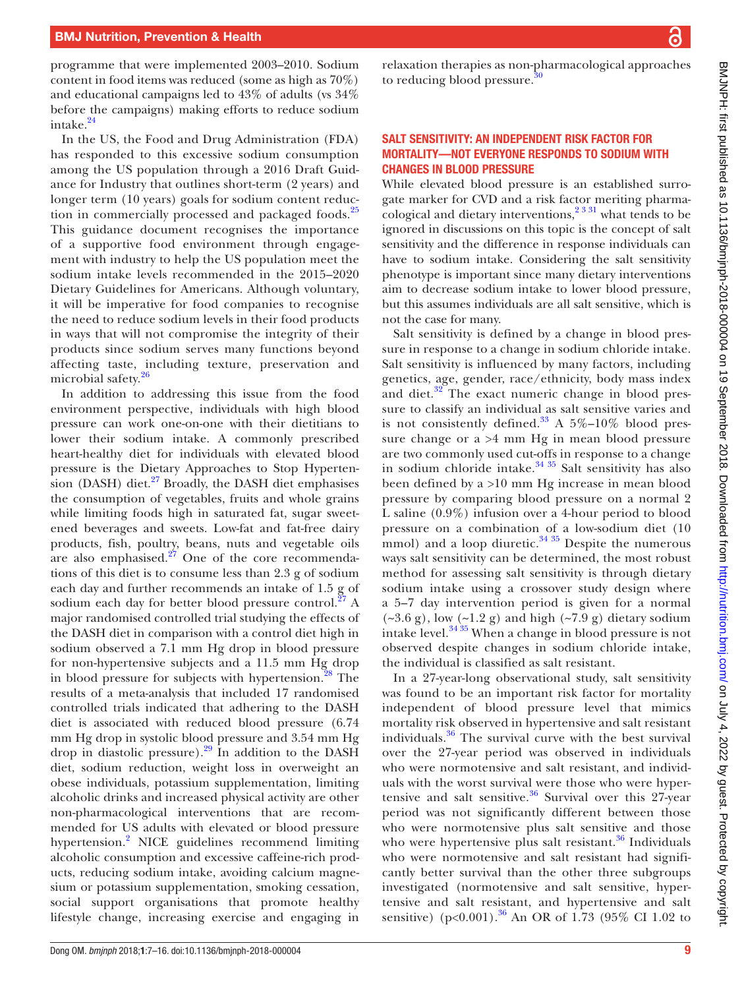programme that were implemented 2003–2010. Sodium content in food items was reduced (some as high as 70%) and educational campaigns led to 43% of adults (vs 34% before the campaigns) making efforts to reduce sodium intake.<sup>24</sup>

In the US, the Food and Drug Administration (FDA) has responded to this excessive sodium consumption among the US population through a 2016 Draft Guidance for Industry that outlines short-term (2 years) and longer term (10 years) goals for sodium content reduc-tion in commercially processed and packaged foods.<sup>[25](#page-8-6)</sup> This guidance document recognises the importance of a supportive food environment through engagement with industry to help the US population meet the sodium intake levels recommended in the 2015–2020 Dietary Guidelines for Americans. Although voluntary, it will be imperative for food companies to recognise the need to reduce sodium levels in their food products in ways that will not compromise the integrity of their products since sodium serves many functions beyond affecting taste, including texture, preservation and microbial safety.<sup>[26](#page-8-7)</sup>

In addition to addressing this issue from the food environment perspective, individuals with high blood pressure can work one-on-one with their dietitians to lower their sodium intake. A commonly prescribed heart-healthy diet for individuals with elevated blood pressure is the Dietary Approaches to Stop Hypertension (DASH) diet. $27$  Broadly, the DASH diet emphasises the consumption of vegetables, fruits and whole grains while limiting foods high in saturated fat, sugar sweetened beverages and sweets. Low-fat and fat-free dairy products, fish, poultry, beans, nuts and vegetable oils are also emphasised. $27$  One of the core recommendations of this diet is to consume less than 2.3 g of sodium each day and further recommends an intake of 1.5 g of sodium each day for better blood pressure control.<sup>[27](#page-8-8)</sup> A major randomised controlled trial studying the effects of the DASH diet in comparison with a control diet high in sodium observed a 7.1 mm Hg drop in blood pressure for non-hypertensive subjects and a 11.5 mm Hg drop in blood pressure for subjects with hypertension.<sup>[28](#page-8-9)</sup> The results of a meta-analysis that included 17 randomised controlled trials indicated that adhering to the DASH diet is associated with reduced blood pressure (6.74 mm Hg drop in systolic blood pressure and 3.54 mm Hg drop in diastolic pressure).[29](#page-8-10) In addition to the DASH diet, sodium reduction, weight loss in overweight an obese individuals, potassium supplementation, limiting alcoholic drinks and increased physical activity are other non-pharmacological interventions that are recommended for US adults with elevated or blood pressure hypertension.<sup>[2](#page-7-1)</sup> NICE guidelines recommend limiting alcoholic consumption and excessive caffeine-rich products, reducing sodium intake, avoiding calcium magnesium or potassium supplementation, smoking cessation, social support organisations that promote healthy lifestyle change, increasing exercise and engaging in

#### Salt sensitivity: an independent risk factor for mortality—not everyone responds to sodium with changes in blood pressure

While elevated blood pressure is an established surrogate marker for CVD and a risk factor meriting pharmacological and dietary interventions,  $2^{331}$  what tends to be ignored in discussions on this topic is the concept of salt sensitivity and the difference in response individuals can have to sodium intake. Considering the salt sensitivity phenotype is important since many dietary interventions aim to decrease sodium intake to lower blood pressure, but this assumes individuals are all salt sensitive, which is not the case for many.

Salt sensitivity is defined by a change in blood pressure in response to a change in sodium chloride intake. Salt sensitivity is influenced by many factors, including genetics, age, gender, race/ethnicity, body mass index and diet. $32$  The exact numeric change in blood pressure to classify an individual as salt sensitive varies and is not consistently defined.<sup>33</sup> A  $5\%$ -10% blood pressure change or a >4 mm Hg in mean blood pressure are two commonly used cut-offs in response to a change in sodium chloride intake. $3435$  Salt sensitivity has also been defined by a >10 mm Hg increase in mean blood pressure by comparing blood pressure on a normal 2 L saline (0.9%) infusion over a 4-hour period to blood pressure on a combination of a low-sodium diet (10 mmol) and a loop diuretic.<sup>34 35</sup> Despite the numerous ways salt sensitivity can be determined, the most robust method for assessing salt sensitivity is through dietary sodium intake using a crossover study design where a 5–7 day intervention period is given for a normal  $(-3.6 \text{ g})$ , low  $(-1.2 \text{ g})$  and high  $(-7.9 \text{ g})$  dietary sodium intake level.[34 35](#page-8-14) When a change in blood pressure is not observed despite changes in sodium chloride intake, the individual is classified as salt resistant.

In a 27-year-long observational study, salt sensitivity was found to be an important risk factor for mortality independent of blood pressure level that mimics mortality risk observed in hypertensive and salt resistant individuals.[36](#page-8-15) The survival curve with the best survival over the 27-year period was observed in individuals who were normotensive and salt resistant, and individuals with the worst survival were those who were hyper-tensive and salt sensitive.<sup>[36](#page-8-15)</sup> Survival over this 27-year period was not significantly different between those who were normotensive plus salt sensitive and those who were hypertensive plus salt resistant. $36$  Individuals who were normotensive and salt resistant had significantly better survival than the other three subgroups investigated (normotensive and salt sensitive, hypertensive and salt resistant, and hypertensive and salt sensitive) (p<0.001).<sup>[36](#page-8-15)</sup> An OR of 1.73 (95% CI 1.02 to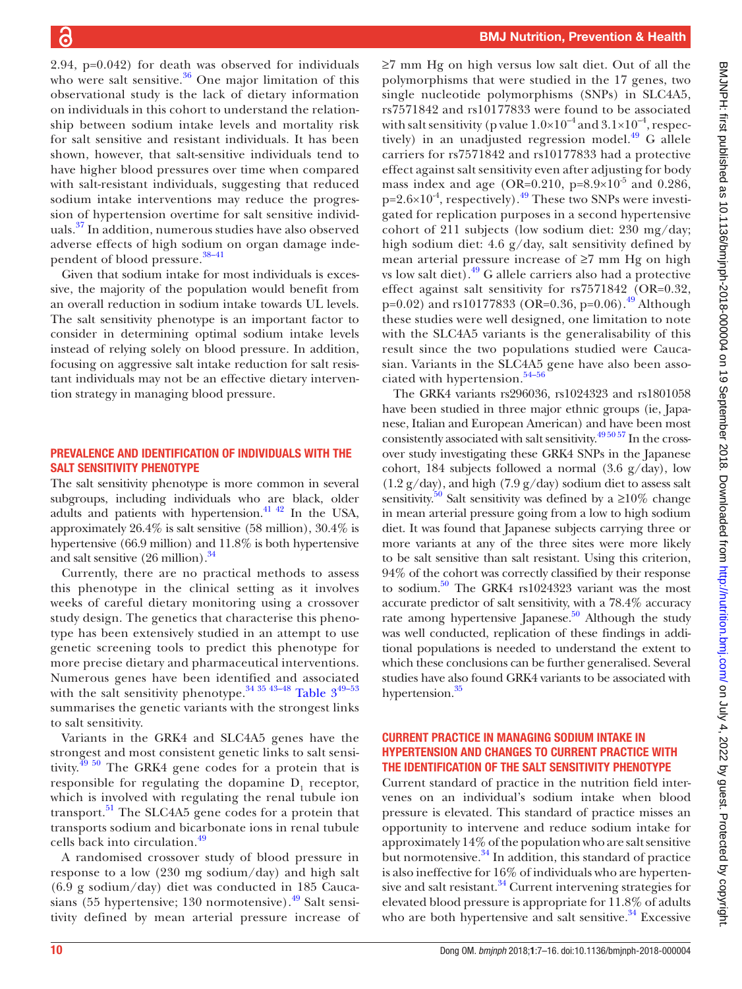2.94, p=0.042) for death was observed for individuals who were salt sensitive. $36$  One major limitation of this observational study is the lack of dietary information on individuals in this cohort to understand the relationship between sodium intake levels and mortality risk for salt sensitive and resistant individuals. It has been shown, however, that salt-sensitive individuals tend to have higher blood pressures over time when compared with salt-resistant individuals, suggesting that reduced sodium intake interventions may reduce the progression of hypertension overtime for salt sensitive individuals.[37](#page-8-16) In addition, numerous studies have also observed adverse effects of high sodium on organ damage independent of blood pressure.<sup>38-41</sup>

Given that sodium intake for most individuals is excessive, the majority of the population would benefit from an overall reduction in sodium intake towards UL levels. The salt sensitivity phenotype is an important factor to consider in determining optimal sodium intake levels instead of relying solely on blood pressure. In addition, focusing on aggressive salt intake reduction for salt resistant individuals may not be an effective dietary intervention strategy in managing blood pressure.

#### Prevalence and identification of individuals with the salt sensitivity phenotype

The salt sensitivity phenotype is more common in several subgroups, including individuals who are black, older adults and patients with hypertension. $41 \frac{42}{1}$  In the USA, approximately 26.4% is salt sensitive (58 million), 30.4% is hypertensive (66.9 million) and 11.8% is both hypertensive and salt sensitive  $(26 \text{ million})$ .<sup>34</sup>

Currently, there are no practical methods to assess this phenotype in the clinical setting as it involves weeks of careful dietary monitoring using a crossover study design. The genetics that characterise this phenotype has been extensively studied in an attempt to use genetic screening tools to predict this phenotype for more precise dietary and pharmaceutical interventions. Numerous genes have been identified and associated with the salt sensitivity phenotype.<sup>[34 35 43–48](#page-8-14)</sup> [Table](#page-4-0)  $3^{49-53}$ summarises the genetic variants with the strongest links to salt sensitivity.

Variants in the GRK4 and SLC4A5 genes have the strongest and most consistent genetic links to salt sensitivity. $4950$  The GRK4 gene codes for a protein that is responsible for regulating the dopamine  $D_1$  receptor, which is involved with regulating the renal tubule ion transport.<sup>51</sup> The SLC4A5 gene codes for a protein that transports sodium and bicarbonate ions in renal tubule cells back into circulation.[49](#page-8-19)

A randomised crossover study of blood pressure in response to a low (230 mg sodium/day) and high salt (6.9 g sodium/day) diet was conducted in 185 Caucasians (55 hypertensive; 130 normotensive). $^{49}$  $^{49}$  $^{49}$  Salt sensitivity defined by mean arterial pressure increase of ≥7 mm Hg on high versus low salt diet. Out of all the polymorphisms that were studied in the 17 genes, two single nucleotide polymorphisms (SNPs) in SLC4A5, rs7571842 and rs10177833 were found to be associated with salt sensitivity (p value  $1.0\times10^{-4}$  and  $3.1\times10^{-4}$ , respectively) in an unadjusted regression model. $^{49}$  G allele carriers for rs7571842 and rs10177833 had a protective effect against salt sensitivity even after adjusting for body mass index and age (OR=0.210, p=8.9×10<sup>-5</sup> and 0.286,  $p=2.6\times10^{-4}$ , respectively).<sup>49</sup> These two SNPs were investigated for replication purposes in a second hypertensive cohort of 211 subjects (low sodium diet: 230 mg/day; high sodium diet: 4.6 g/day, salt sensitivity defined by mean arterial pressure increase of  $\geq 7$  mm Hg on high vs low salt diet). $^{49}$  $^{49}$  $^{49}$  G allele carriers also had a protective effect against salt sensitivity for rs7571842 (OR=0.32,  $p=0.02$ ) and rs10177833 (OR=0.36,  $p=0.06$ ).<sup>[49](#page-8-19)</sup> Although these studies were well designed, one limitation to note with the SLC4A5 variants is the generalisability of this result since the two populations studied were Caucasian. Variants in the SLC4A5 gene have also been associated with hypertension.<sup>54-56</sup>

The GRK4 variants rs296036, rs1024323 and rs1801058 have been studied in three major ethnic groups (ie, Japanese, Italian and European American) and have been most consistently associated with salt sensitivity.[49 50 57](#page-8-19) In the crossover study investigating these GRK4 SNPs in the Japanese cohort, 184 subjects followed a normal (3.6 g/day), low  $(1.2 \text{ g/day})$ , and high  $(7.9 \text{ g/day})$  sodium diet to assess salt sensitivity.<sup>50</sup> Salt sensitivity was defined by a  $\geq 10\%$  change in mean arterial pressure going from a low to high sodium diet. It was found that Japanese subjects carrying three or more variants at any of the three sites were more likely to be salt sensitive than salt resistant. Using this criterion, 94% of the cohort was correctly classified by their response to sodium.<sup>[50](#page-8-22)</sup> The GRK4 rs1024323 variant was the most accurate predictor of salt sensitivity, with a 78.4% accuracy rate among hypertensive Japanese.<sup>50</sup> Although the study was well conducted, replication of these findings in additional populations is needed to understand the extent to which these conclusions can be further generalised. Several studies have also found GRK4 variants to be associated with hypertension.<sup>[35](#page-8-23)</sup>

#### Current practice in managing sodium intake in hypertension and changes to current practice with the identification of the salt sensitivity phenotype

Current standard of practice in the nutrition field intervenes on an individual's sodium intake when blood pressure is elevated. This standard of practice misses an opportunity to intervene and reduce sodium intake for approximately 14% of the population who are salt sensitive but normotensive.<sup>[34](#page-8-14)</sup> In addition, this standard of practice is also ineffective for 16% of individuals who are hypertensive and salt resistant.<sup>34</sup> Current intervening strategies for elevated blood pressure is appropriate for 11.8% of adults who are both hypertensive and salt sensitive. $34$  Excessive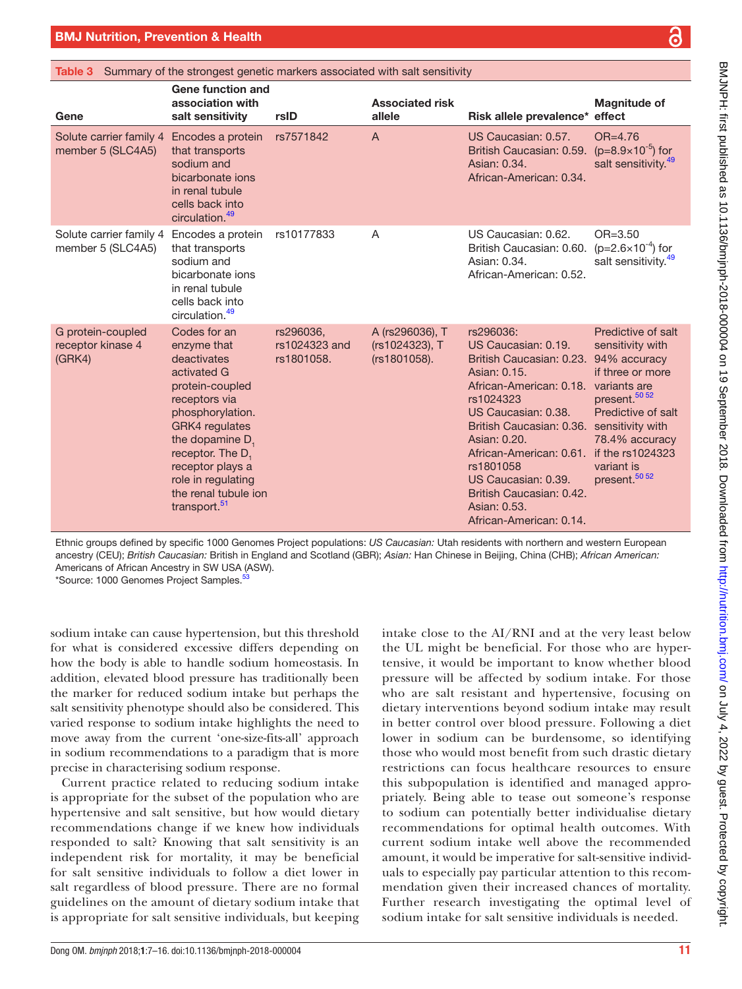<span id="page-4-0"></span>Table 3 Summary of the strongest genetic markers associated with salt sensitivity

| Gene                                             | <b>Gene function and</b><br>association with<br>salt sensitivity                                                                                                                                                                                                                | rsID                                     | <b>Associated risk</b><br>allele                  | Risk allele prevalence*                                                                                                                                                                                                                                                                                                       | Magnitude of<br>effect                                                                                                                                                                                                                                        |
|--------------------------------------------------|---------------------------------------------------------------------------------------------------------------------------------------------------------------------------------------------------------------------------------------------------------------------------------|------------------------------------------|---------------------------------------------------|-------------------------------------------------------------------------------------------------------------------------------------------------------------------------------------------------------------------------------------------------------------------------------------------------------------------------------|---------------------------------------------------------------------------------------------------------------------------------------------------------------------------------------------------------------------------------------------------------------|
| Solute carrier family 4<br>member 5 (SLC4A5)     | Encodes a protein<br>that transports<br>sodium and<br>bicarbonate ions<br>in renal tubule<br>cells back into<br>circulation. <sup>49</sup>                                                                                                                                      | rs7571842                                | A                                                 | US Caucasian: 0.57.<br>British Caucasian: 0.59.<br>Asian: 0.34.<br>African-American: 0.34.                                                                                                                                                                                                                                    | $OR = 4.76$<br>$(p=8.9\times10^{-5})$ for<br>salt sensitivity. <sup>49</sup>                                                                                                                                                                                  |
| Solute carrier family 4<br>member 5 (SLC4A5)     | Encodes a protein<br>that transports<br>sodium and<br>bicarbonate ions<br>in renal tubule<br>cells back into<br>circulation. <sup>49</sup>                                                                                                                                      | rs10177833                               | A                                                 | US Caucasian: 0.62.<br>British Caucasian: 0.60.<br>Asian: 0.34.<br>African-American: 0.52.                                                                                                                                                                                                                                    | $OR = 3.50$<br>$(p=2.6\times10^{-4})$ for<br>salt sensitivity. <sup>49</sup>                                                                                                                                                                                  |
| G protein-coupled<br>receptor kinase 4<br>(GRK4) | Codes for an<br>enzyme that<br>deactivates<br>activated G<br>protein-coupled<br>receptors via<br>phosphorylation.<br><b>GRK4</b> regulates<br>the dopamine D,<br>receptor. The D.<br>receptor plays a<br>role in regulating<br>the renal tubule ion<br>transport. <sup>51</sup> | rs296036,<br>rs1024323 and<br>rs1801058. | A (rs296036), T<br>(rs1024323), T<br>(rs1801058). | rs296036:<br>US Caucasian: 0.19.<br>British Caucasian: 0.23.<br>Asian: 0.15.<br>African-American: 0.18.<br>rs1024323<br>US Caucasian: 0.38.<br>British Caucasian: 0.36.<br>Asian: 0.20.<br>African-American: 0.61.<br>rs1801058<br>US Caucasian: 0.39.<br>British Caucasian: 0.42.<br>Asian: 0.53.<br>African-American: 0.14. | Predictive of salt<br>sensitivity with<br>94% accuracy<br>if three or more<br>variants are<br>present. <sup>50</sup> <sub>52</sub><br>Predictive of salt<br>sensitivity with<br>78.4% accuracy<br>if the rs1024323<br>variant is<br>present. <sup>50</sup> 52 |

Ethnic groups defined by specific 1000 Genomes Project populations: *US Caucasian:* Utah residents with northern and western European ancestry (CEU); *British Caucasian:* British in England and Scotland (GBR); *Asian:* Han Chinese in Beijing, China (CHB); *African American:* Americans of African Ancestry in SW USA (ASW).

\*Source: 1000 Genomes Project Samples.

sodium intake can cause hypertension, but this threshold for what is considered excessive differs depending on how the body is able to handle sodium homeostasis. In addition, elevated blood pressure has traditionally been the marker for reduced sodium intake but perhaps the salt sensitivity phenotype should also be considered. This varied response to sodium intake highlights the need to move away from the current 'one-size-fits-all' approach in sodium recommendations to a paradigm that is more precise in characterising sodium response.

Current practice related to reducing sodium intake is appropriate for the subset of the population who are hypertensive and salt sensitive, but how would dietary recommendations change if we knew how individuals responded to salt? Knowing that salt sensitivity is an independent risk for mortality, it may be beneficial for salt sensitive individuals to follow a diet lower in salt regardless of blood pressure. There are no formal guidelines on the amount of dietary sodium intake that is appropriate for salt sensitive individuals, but keeping intake close to the AI/RNI and at the very least below the UL might be beneficial. For those who are hypertensive, it would be important to know whether blood pressure will be affected by sodium intake. For those who are salt resistant and hypertensive, focusing on dietary interventions beyond sodium intake may result in better control over blood pressure. Following a diet lower in sodium can be burdensome, so identifying those who would most benefit from such drastic dietary restrictions can focus healthcare resources to ensure this subpopulation is identified and managed appropriately. Being able to tease out someone's response to sodium can potentially better individualise dietary recommendations for optimal health outcomes. With current sodium intake well above the recommended amount, it would be imperative for salt-sensitive individuals to especially pay particular attention to this recommendation given their increased chances of mortality. Further research investigating the optimal level of sodium intake for salt sensitive individuals is needed.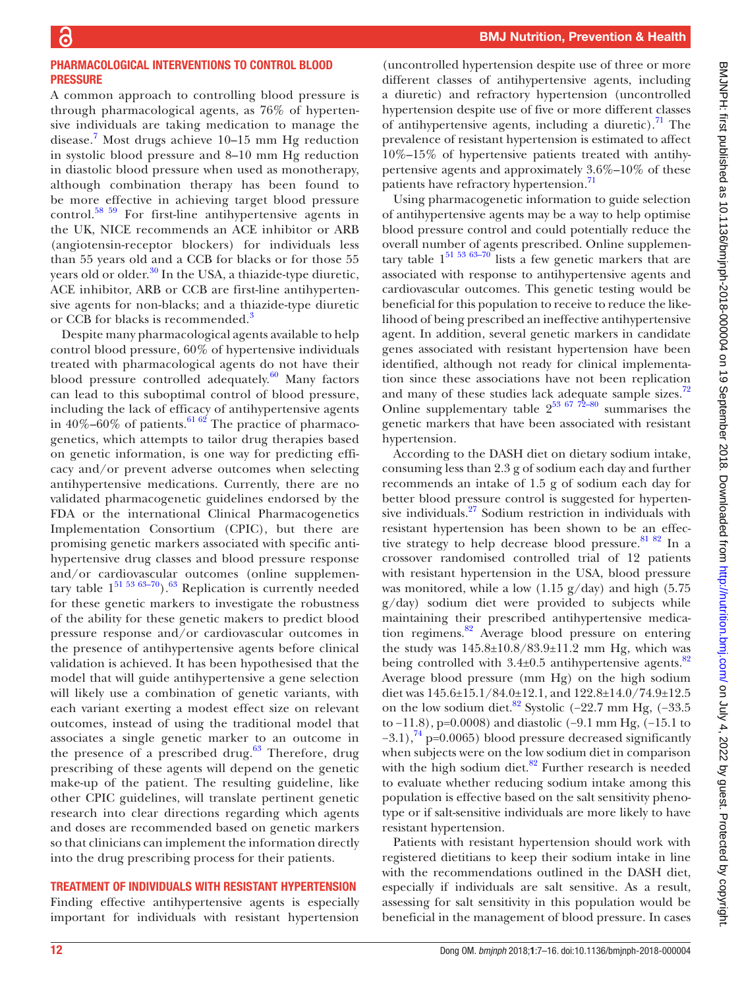#### Pharmacological interventions to control blood **PRESSURE**

A common approach to controlling blood pressure is through pharmacological agents, as 76% of hypertensive individuals are taking medication to manage the disease.[7](#page-7-5) Most drugs achieve 10–15 mm Hg reduction in systolic blood pressure and 8–10 mm Hg reduction in diastolic blood pressure when used as monotherapy, although combination therapy has been found to be more effective in achieving target blood pressure control.[58 59](#page-8-25) For first-line antihypertensive agents in the UK, NICE recommends an ACE inhibitor or ARB (angiotensin-receptor blockers) for individuals less than 55 years old and a CCB for blacks or for those 55 years old or older. $30 \text{ In the USA}$  $30 \text{ In the USA}$ , a thiazide-type diuretic, ACE inhibitor, ARB or CCB are first-line antihypertensive agents for non-blacks; and a thiazide-type diuretic or CCB for blacks is recommended.<sup>[3](#page-7-13)</sup>

Despite many pharmacological agents available to help control blood pressure, 60% of hypertensive individuals treated with pharmacological agents do not have their blood pressure controlled adequately. $60$  Many factors can lead to this suboptimal control of blood pressure, including the lack of efficacy of antihypertensive agents in 40%–60% of patients.<sup>[61 62](#page-8-27)</sup> The practice of pharmacogenetics, which attempts to tailor drug therapies based on genetic information, is one way for predicting efficacy and/or prevent adverse outcomes when selecting antihypertensive medications. Currently, there are no validated pharmacogenetic guidelines endorsed by the FDA or the international Clinical Pharmacogenetics Implementation Consortium (CPIC), but there are promising genetic markers associated with specific antihypertensive drug classes and blood pressure response and/or cardiovascular outcomes ([online supplemen](https://dx.doi.org/10.1136/bmjnph-2018-000004)tary table  $1^{51\,53\,63-70}$ .<sup>63</sup> Replication is currently needed for these genetic markers to investigate the robustness of the ability for these genetic makers to predict blood pressure response and/or cardiovascular outcomes in the presence of antihypertensive agents before clinical validation is achieved. It has been hypothesised that the model that will guide antihypertensive a gene selection will likely use a combination of genetic variants, with each variant exerting a modest effect size on relevant outcomes, instead of using the traditional model that associates a single genetic marker to an outcome in the presence of a prescribed drug. $63$  Therefore, drug prescribing of these agents will depend on the genetic make-up of the patient. The resulting guideline, like other CPIC guidelines, will translate pertinent genetic research into clear directions regarding which agents and doses are recommended based on genetic markers so that clinicians can implement the information directly into the drug prescribing process for their patients.

#### Treatment of individuals with resistant hypertension

Finding effective antihypertensive agents is especially important for individuals with resistant hypertension

(uncontrolled hypertension despite use of three or more different classes of antihypertensive agents, including a diuretic) and refractory hypertension (uncontrolled hypertension despite use of five or more different classes of antihypertensive agents, including a diuretic).<sup>71</sup> The prevalence of resistant hypertension is estimated to affect 10%–15% of hypertensive patients treated with antihypertensive agents and approximately 3.6%–10% of these patients have refractory hypertension.<sup>[71](#page-9-0)</sup>

Using pharmacogenetic information to guide selection of antihypertensive agents may be a way to help optimise blood pressure control and could potentially reduce the overall number of agents prescribed. [Online supplemen](https://dx.doi.org/10.1136/bmjnph-2018-000004)tary table  $1^{51}$   $^{53}$   $^{63-70}$  lists a few genetic markers that are associated with response to antihypertensive agents and cardiovascular outcomes. This genetic testing would be beneficial for this population to receive to reduce the likelihood of being prescribed an ineffective antihypertensive agent. In addition, several genetic markers in candidate genes associated with resistant hypertension have been identified, although not ready for clinical implementation since these associations have not been replication and many of these studies lack adequate sample sizes.<sup>[72](#page-9-1)</sup> Online supplementary table  $2^{53}$   $67$   $72-80$  summarises the genetic markers that have been associated with resistant hypertension.

According to the DASH diet on dietary sodium intake, consuming less than 2.3 g of sodium each day and further recommends an intake of 1.5 g of sodium each day for better blood pressure control is suggested for hypertensive individuals.<sup>27</sup> Sodium restriction in individuals with resistant hypertension has been shown to be an effec-tive strategy to help decrease blood pressure.<sup>[81 82](#page-9-2)</sup> In a crossover randomised controlled trial of 12 patients with resistant hypertension in the USA, blood pressure was monitored, while a low  $(1.15 \text{ g/day})$  and high  $(5.75 \text{ g/day})$ g/day) sodium diet were provided to subjects while maintaining their prescribed antihypertensive medication regimens[.82](#page-9-3) Average blood pressure on entering the study was  $145.8 \pm 10.8 / 83.9 \pm 11.2$  mm Hg, which was being controlled with  $3.4\pm0.5$  antihypertensive agents.<sup>[82](#page-9-3)</sup> Average blood pressure (mm Hg) on the high sodium diet was 145.6±15.1/84.0±12.1, and 122.8±14.0/74.9±12.5 on the low sodium diet.<sup>[82](#page-9-3)</sup> Systolic (−22.7 mm Hg, (−33.5) to −11.8), p=0.0008) and diastolic (−9.1 mm Hg, (−15.1 to  $-3.1$ ),<sup>74</sup> p=0.0065) blood pressure decreased significantly when subjects were on the low sodium diet in comparison with the high sodium diet. $82$  Further research is needed to evaluate whether reducing sodium intake among this population is effective based on the salt sensitivity phenotype or if salt-sensitive individuals are more likely to have resistant hypertension.

Patients with resistant hypertension should work with registered dietitians to keep their sodium intake in line with the recommendations outlined in the DASH diet, especially if individuals are salt sensitive. As a result, assessing for salt sensitivity in this population would be beneficial in the management of blood pressure. In cases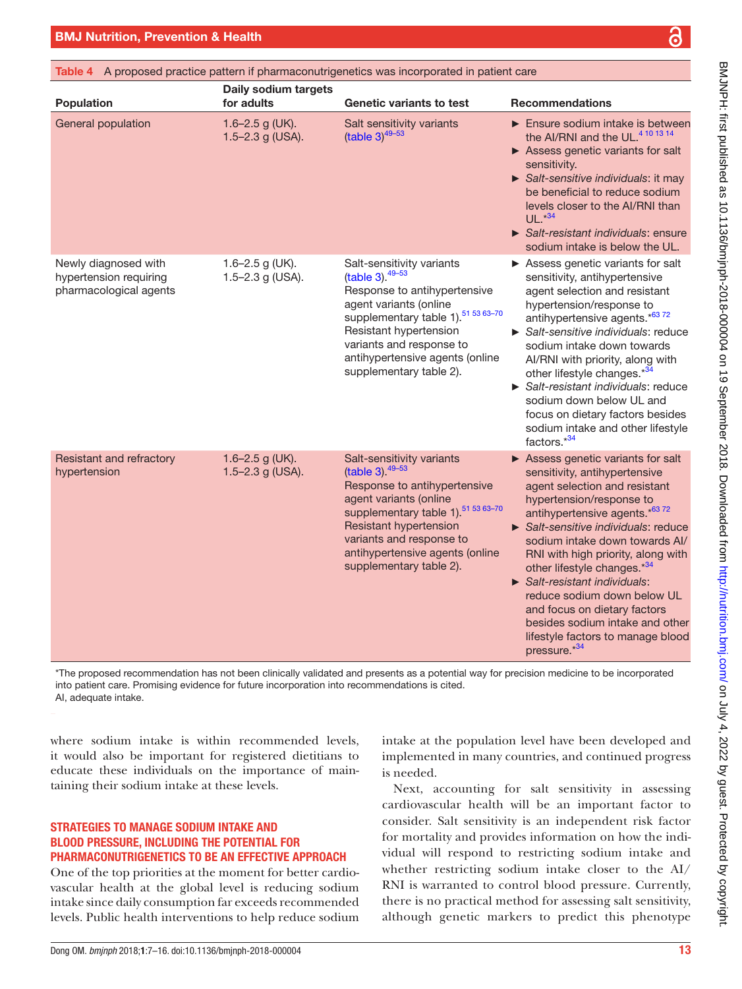<span id="page-6-0"></span>

| Table 4 A proposed practice pattern if pharmaconutrigenetics was incorporated in patient care |                                     |                                                                                                                                                                                                                                                                                    |                                                                                                                                                                                                                                                                                                                                                                                                                                                                                                                                                    |  |  |  |
|-----------------------------------------------------------------------------------------------|-------------------------------------|------------------------------------------------------------------------------------------------------------------------------------------------------------------------------------------------------------------------------------------------------------------------------------|----------------------------------------------------------------------------------------------------------------------------------------------------------------------------------------------------------------------------------------------------------------------------------------------------------------------------------------------------------------------------------------------------------------------------------------------------------------------------------------------------------------------------------------------------|--|--|--|
| Population                                                                                    | Daily sodium targets<br>for adults  | <b>Genetic variants to test</b>                                                                                                                                                                                                                                                    | <b>Recommendations</b>                                                                                                                                                                                                                                                                                                                                                                                                                                                                                                                             |  |  |  |
| General population                                                                            | 1.6-2.5 g (UK).<br>1.5-2.3 g (USA). | Salt sensitivity variants<br>$(table 3)^{49-53}$                                                                                                                                                                                                                                   | Ensure sodium intake is between<br>the Al/RNI and the UL. <sup>4 10 13 14</sup><br>Assess genetic variants for salt<br>sensitivity.<br>$\triangleright$ Salt-sensitive individuals: it may<br>be beneficial to reduce sodium<br>levels closer to the AI/RNI than<br>$UL.*34$<br>$\triangleright$ Salt-resistant individuals: ensure<br>sodium intake is below the UL.                                                                                                                                                                              |  |  |  |
| Newly diagnosed with<br>hypertension requiring<br>pharmacological agents                      | 1.6-2.5 g (UK).<br>1.5-2.3 g (USA). | Salt-sensitivity variants<br>$(table 3).49-53$<br>Response to antihypertensive<br>agent variants (online<br>supplementary table 1). <sup>51 53 63-70</sup><br>Resistant hypertension<br>variants and response to<br>antihypertensive agents (online<br>supplementary table 2).     | $\triangleright$ Assess genetic variants for salt<br>sensitivity, antihypertensive<br>agent selection and resistant<br>hypertension/response to<br>antihypertensive agents. *63 72<br>Salt-sensitive individuals: reduce<br>sodium intake down towards<br>Al/RNI with priority, along with<br>other lifestyle changes.*34<br>Salt-resistant individuals: reduce<br>sodium down below UL and<br>focus on dietary factors besides<br>sodium intake and other lifestyle<br>factors. $*34$                                                             |  |  |  |
| Resistant and refractory<br>hypertension                                                      | 1.6–2.5 g (UK).<br>1.5-2.3 g (USA). | Salt-sensitivity variants<br>$(table 3)$ . $49-53$<br>Response to antihypertensive<br>agent variants (online<br>supplementary table 1). <sup>51 53 63-70</sup><br>Resistant hypertension<br>variants and response to<br>antihypertensive agents (online<br>supplementary table 2). | ▶ Assess genetic variants for salt<br>sensitivity, antihypertensive<br>agent selection and resistant<br>hypertension/response to<br>antihypertensive agents.*6372<br>$\triangleright$ Salt-sensitive individuals: reduce<br>sodium intake down towards Al/<br>RNI with high priority, along with<br>other lifestyle changes. <sup>*34</sup><br>$\triangleright$ Salt-resistant individuals:<br>reduce sodium down below UL<br>and focus on dietary factors<br>besides sodium intake and other<br>lifestyle factors to manage blood<br>pressure.*34 |  |  |  |

\*The proposed recommendation has not been clinically validated and presents as a potential way for precision medicine to be incorporated into patient care. Promising evidence for future incorporation into recommendations is cited. AI, adequate intake.

where sodium intake is within recommended levels, it would also be important for registered dietitians to educate these individuals on the importance of maintaining their sodium intake at these levels.

#### Strategies to manage sodium intake and blood pressure, including the potential for pharmaconutrigenetics to be an effective approach

One of the top priorities at the moment for better cardiovascular health at the global level is reducing sodium intake since daily consumption far exceeds recommended levels. Public health interventions to help reduce sodium

intake at the population level have been developed and implemented in many countries, and continued progress is needed.

Next, accounting for salt sensitivity in assessing cardiovascular health will be an important factor to consider. Salt sensitivity is an independent risk factor for mortality and provides information on how the individual will respond to restricting sodium intake and whether restricting sodium intake closer to the AI/ RNI is warranted to control blood pressure. Currently, there is no practical method for assessing salt sensitivity, although genetic markers to predict this phenotype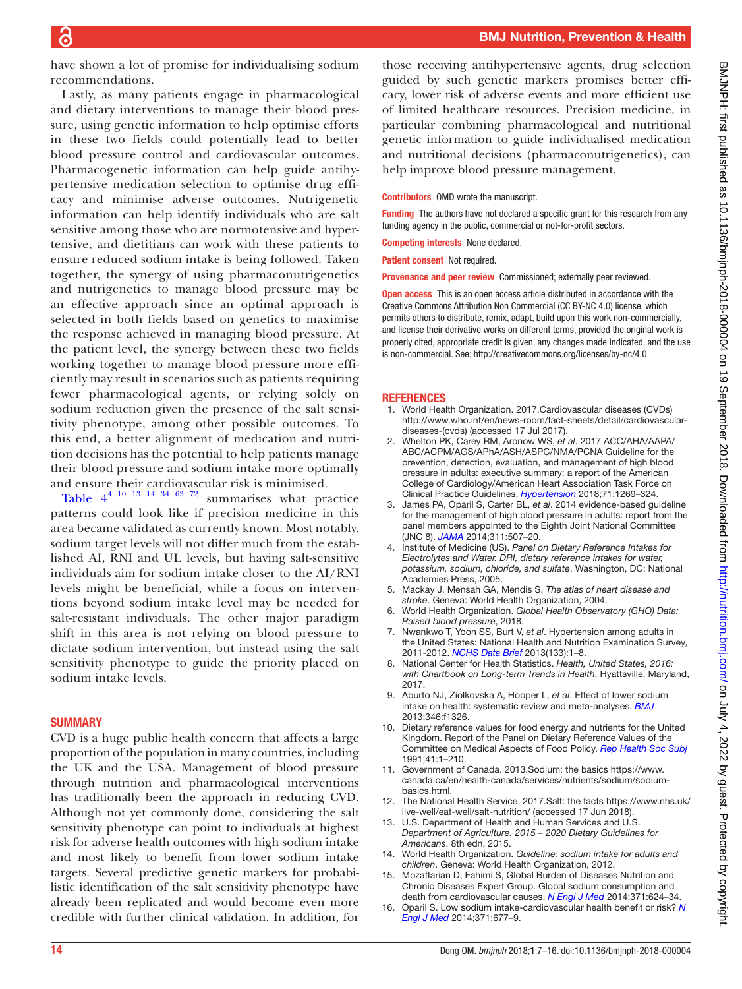BMJNPH: first published as 10.1136/bmjph-2018-000004 on 19 September 2018. Downloaded from http://rutrition.bmj.com/ on July 4, 2022 by guest. Protected by copyright BMJNH: first published as 10.1136/bmjnph-2018-00004 on 19 September 2018. Downloaded from <http://nutrition.bmj.com/> on July 4, 2022 by guest. Protected by copyright.

have shown a lot of promise for individualising sodium recommendations.

Lastly, as many patients engage in pharmacological and dietary interventions to manage their blood pressure, using genetic information to help optimise efforts in these two fields could potentially lead to better blood pressure control and cardiovascular outcomes. Pharmacogenetic information can help guide antihypertensive medication selection to optimise drug efficacy and minimise adverse outcomes. Nutrigenetic information can help identify individuals who are salt sensitive among those who are normotensive and hypertensive, and dietitians can work with these patients to ensure reduced sodium intake is being followed. Taken together, the synergy of using pharmaconutrigenetics and nutrigenetics to manage blood pressure may be an effective approach since an optimal approach is selected in both fields based on genetics to maximise the response achieved in managing blood pressure. At the patient level, the synergy between these two fields working together to manage blood pressure more efficiently may result in scenarios such as patients requiring fewer pharmacological agents, or relying solely on sodium reduction given the presence of the salt sensitivity phenotype, among other possible outcomes. To this end, a better alignment of medication and nutrition decisions has the potential to help patients manage their blood pressure and sodium intake more optimally and ensure their cardiovascular risk is minimised.

[Table](#page-6-0)  $4^{4}$  <sup>10 13 14 34 63 72</sup> summarises what practice patterns could look like if precision medicine in this area became validated as currently known. Most notably, sodium target levels will not differ much from the established AI, RNI and UL levels, but having salt-sensitive individuals aim for sodium intake closer to the AI/RNI levels might be beneficial, while a focus on interventions beyond sodium intake level may be needed for salt-resistant individuals. The other major paradigm shift in this area is not relying on blood pressure to dictate sodium intervention, but instead using the salt sensitivity phenotype to guide the priority placed on sodium intake levels.

#### **SUMMARY**

CVD is a huge public health concern that affects a large proportion of the population in many countries, including the UK and the USA. Management of blood pressure through nutrition and pharmacological interventions has traditionally been the approach in reducing CVD. Although not yet commonly done, considering the salt sensitivity phenotype can point to individuals at highest risk for adverse health outcomes with high sodium intake and most likely to benefit from lower sodium intake targets. Several predictive genetic markers for probabilistic identification of the salt sensitivity phenotype have already been replicated and would become even more credible with further clinical validation. In addition, for

those receiving antihypertensive agents, drug selection guided by such genetic markers promises better efficacy, lower risk of adverse events and more efficient use of limited healthcare resources. Precision medicine, in particular combining pharmacological and nutritional genetic information to guide individualised medication and nutritional decisions (pharmaconutrigenetics), can help improve blood pressure management.

Contributors OMD wrote the manuscript.

Funding The authors have not declared a specific grant for this research from any funding agency in the public, commercial or not-for-profit sectors.

Competing interests None declared.

Patient consent Not required.

Provenance and peer review Commissioned; externally peer reviewed.

**Open access** This is an open access article distributed in accordance with the Creative Commons Attribution Non Commercial (CC BY-NC 4.0) license, which permits others to distribute, remix, adapt, build upon this work non-commercially, and license their derivative works on different terms, provided the original work is properly cited, appropriate credit is given, any changes made indicated, and the use is non-commercial. See:<http://creativecommons.org/licenses/by-nc/4.0>

#### **REFERENCES**

- <span id="page-7-0"></span>1. World Health Organization. 2017.Cardiovascular diseases (CVDs) [http://www.who.int/en/news-room/fact-sheets/detail/cardiovascular](http://www.who.int/en/news-room/fact-sheets/detail/cardiovascular-diseases-(cvds))[diseases-\(cvds\)](http://www.who.int/en/news-room/fact-sheets/detail/cardiovascular-diseases-(cvds)) (accessed 17 Jul 2017).
- <span id="page-7-1"></span>2. Whelton PK, Carey RM, Aronow WS, *et al*. 2017 ACC/AHA/AAPA/ ABC/ACPM/AGS/APhA/ASH/ASPC/NMA/PCNA Guideline for the prevention, detection, evaluation, and management of high blood pressure in adults: executive summary: a report of the American College of Cardiology/American Heart Association Task Force on Clinical Practice Guidelines. *[Hypertension](http://dx.doi.org/10.1161/HYP.0000000000000066)* 2018;71:1269–324.
- <span id="page-7-13"></span>3. James PA, Oparil S, Carter BL, *et al*. 2014 evidence-based guideline for the management of high blood pressure in adults: report from the panel members appointed to the Eighth Joint National Committee (JNC 8). *[JAMA](http://dx.doi.org/10.1001/jama.2013.284427)* 2014;311:507–20.
- <span id="page-7-2"></span>4. Institute of Medicine (US). *Panel on Dietary Reference Intakes for Electrolytes and Water. DRI, dietary reference intakes for water, potassium, sodium, chloride, and sulfate*. Washington, DC: National Academies Press, 2005.
- <span id="page-7-3"></span>5. Mackay J, Mensah GA, Mendis S. *The atlas of heart disease and stroke*. Geneva: World Health Organization, 2004.
- <span id="page-7-4"></span>6. World Health Organization. *Global Health Observatory (GHO) Data: Raised blood pressure*, 2018.
- <span id="page-7-5"></span>7. Nwankwo T, Yoon SS, Burt V, *et al*. Hypertension among adults in the United States: National Health and Nutrition Examination Survey, 2011-2012. *[NCHS Data Brief](http://www.ncbi.nlm.nih.gov/pubmed/24171916)* 2013(133):1–8.
- <span id="page-7-7"></span>8. National Center for Health Statistics. *Health, United States, 2016: with Chartbook on Long-term Trends in Health*. Hyattsville, Maryland, 2017.
- <span id="page-7-8"></span>9. Aburto NJ, Ziolkovska A, Hooper L, *et al*. Effect of lower sodium intake on health: systematic review and meta-analyses. *[BMJ](http://dx.doi.org/10.1136/bmj.f1326)* 2013;346:f1326.
- <span id="page-7-6"></span>10. Dietary reference values for food energy and nutrients for the United Kingdom. Report of the Panel on Dietary Reference Values of the Committee on Medical Aspects of Food Policy. *[Rep Health Soc Subj](http://www.ncbi.nlm.nih.gov/pubmed/1961974)* 1991;41:1–210.
- <span id="page-7-9"></span>11. Government of Canada. 2013.Sodium: the basics [https://www.](https://www.canada.ca/en/health-canada/services/nutrients/sodium/sodium-basics.html) [canada.ca/en/health-canada/services/nutrients/sodium/sodium](https://www.canada.ca/en/health-canada/services/nutrients/sodium/sodium-basics.html)[basics.html](https://www.canada.ca/en/health-canada/services/nutrients/sodium/sodium-basics.html).
- 12. The National Health Service. 2017.Salt: the facts [https://www.nhs.uk/](https://www.nhs.uk/live-well/eat-well/salt-nutrition/) [live-well/eat-well/salt-nutrition/](https://www.nhs.uk/live-well/eat-well/salt-nutrition/) (accessed 17 Jun 2018).
- <span id="page-7-10"></span>13. U.S. Department of Health and Human Services and U.S. *Department of Agriculture. 2015 – 2020 Dietary Guidelines for Americans*. 8th edn, 2015.
- <span id="page-7-11"></span>14. World Health Organization. *Guideline: sodium intake for adults and children*. Geneva: World Health Organization, 2012.
- 15. Mozaffarian D, Fahimi S, Global Burden of Diseases Nutrition and Chronic Diseases Expert Group. Global sodium consumption and death from cardiovascular causes. *[N Engl J Med](http://dx.doi.org/10.1056/NEJMoa1304127)* 2014;371:624–34.
- <span id="page-7-12"></span>16. Oparil S. Low sodium intake-cardiovascular health benefit or risk? *[N](http://dx.doi.org/10.1056/NEJMe1407695)  [Engl J Med](http://dx.doi.org/10.1056/NEJMe1407695)* 2014;371:677–9.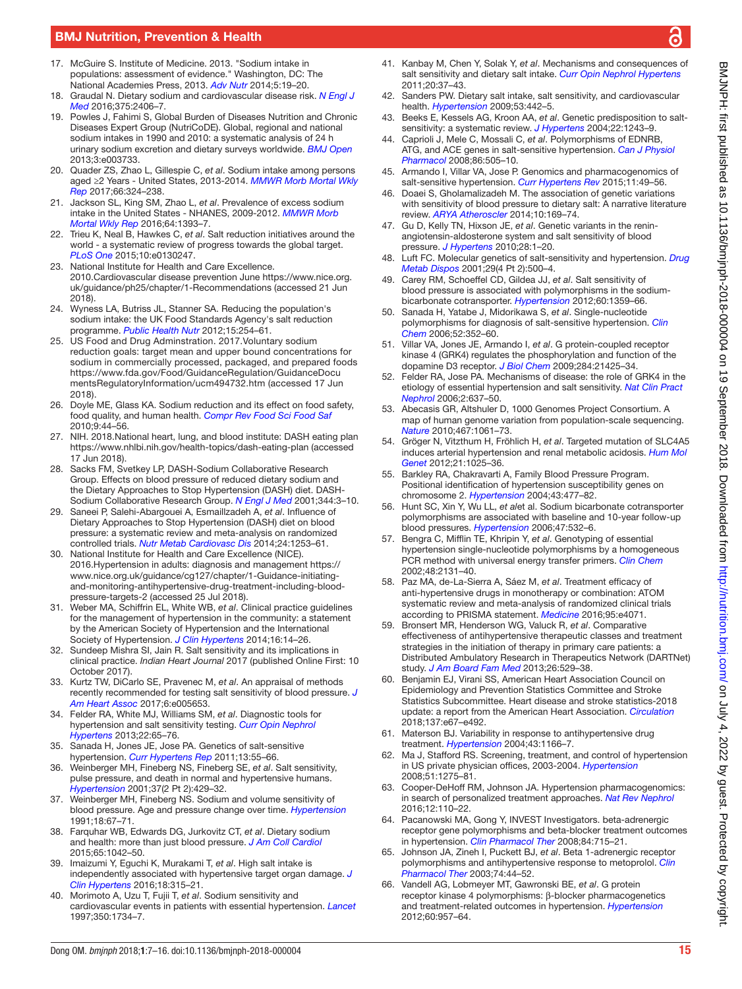## BMJ Nutrition, Prevention & Health

- 17. McGuire S. Institute of Medicine. 2013. "Sodium intake in populations: assessment of evidence." Washington, DC: The National Academies Press, 2013. *[Adv Nutr](http://dx.doi.org/10.3945/an.113.005033)* 2014;5:19–20.
- <span id="page-8-0"></span>18. Graudal N. Dietary sodium and cardiovascular disease risk. *[N Engl J](http://dx.doi.org/10.1056/NEJMc1612304)  [Med](http://dx.doi.org/10.1056/NEJMc1612304)* 2016;375:2406–7.
- <span id="page-8-1"></span>19. Powles J, Fahimi S, Global Burden of Diseases Nutrition and Chronic Diseases Expert Group (NutriCoDE). Global, regional and national sodium intakes in 1990 and 2010: a systematic analysis of 24 h urinary sodium excretion and dietary surveys worldwide. *[BMJ Open](http://dx.doi.org/10.1136/bmjopen-2013-003733)* 2013;3:e003733.
- <span id="page-8-2"></span>20. Quader ZS, Zhao L, Gillespie C, *et al*. Sodium intake among persons aged ≥2 Years - United States, 2013-2014. *[MMWR Morb Mortal Wkly](http://dx.doi.org/10.15585/mmwr.mm6612a3)  [Rep](http://dx.doi.org/10.15585/mmwr.mm6612a3)* 2017;66:324–238.
- 21. Jackson SL, King SM, Zhao L, *et al*. Prevalence of excess sodium intake in the United States - NHANES, 2009-2012. *[MMWR Morb](http://dx.doi.org/10.15585/mmwr.mm6452a1)  [Mortal Wkly Rep](http://dx.doi.org/10.15585/mmwr.mm6452a1)* 2016;64:1393–7.
- <span id="page-8-3"></span>22. Trieu K, Neal B, Hawkes C, *et al*. Salt reduction initiatives around the world - a systematic review of progress towards the global target. *[PLoS One](http://dx.doi.org/10.1371/journal.pone.0130247)* 2015;10:e0130247.
- <span id="page-8-4"></span>23. National Institute for Health and Care Excellence. 2010.Cardiovascular disease prevention June [https://www.nice.org.](https://www.nice.org.uk/guidance/ph25/chapter/1-Recommendations) [uk/guidance/ph25/chapter/1-Recommendations](https://www.nice.org.uk/guidance/ph25/chapter/1-Recommendations) (accessed 21 Jun 2018).
- <span id="page-8-5"></span>24. Wyness LA, Butriss JL, Stanner SA. Reducing the population's sodium intake: the UK Food Standards Agency's salt reduction programme. *[Public Health Nutr](http://dx.doi.org/10.1017/S1368980011000966)* 2012;15:254–61.
- <span id="page-8-6"></span>25. US Food and Drug Adminstration. 2017.Voluntary sodium reduction goals: target mean and upper bound concentrations for sodium in commercially processed, packaged, and prepared foods [https://www.fda.gov/Food/GuidanceRegulation/GuidanceDocu](https://www.fda.gov/Food/GuidanceRegulation/GuidanceDocumentsRegulatoryInformation/ucm494732.htm) [mentsRegulatoryInformation/ucm494732.htm](https://www.fda.gov/Food/GuidanceRegulation/GuidanceDocumentsRegulatoryInformation/ucm494732.htm) (accessed 17 Jun 2018).
- <span id="page-8-7"></span>26. Doyle ME, Glass KA. Sodium reduction and its effect on food safety, food quality, and human health. *[Compr Rev Food Sci Food Saf](http://dx.doi.org/10.1111/j.1541-4337.2009.00096.x)* 2010;9:44–56.
- <span id="page-8-8"></span>27. NIH. 2018.National heart, lung, and blood institute: DASH eating plan <https://www.nhlbi.nih.gov/health-topics/dash-eating-plan>(accessed 17 Jun 2018).
- <span id="page-8-9"></span>28. Sacks FM, Svetkey LP, DASH-Sodium Collaborative Research Group. Effects on blood pressure of reduced dietary sodium and the Dietary Approaches to Stop Hypertension (DASH) diet. DASH-Sodium Collaborative Research Group. *[N Engl J Med](http://dx.doi.org/10.1056/NEJM200101043440101)* 2001;344:3–10.
- <span id="page-8-10"></span>29. Saneei P, Salehi-Abargouei A, Esmaillzadeh A, *et al*. Influence of Dietary Approaches to Stop Hypertension (DASH) diet on blood pressure: a systematic review and meta-analysis on randomized controlled trials. *[Nutr Metab Cardiovasc Dis](http://dx.doi.org/10.1016/j.numecd.2014.06.008)* 2014;24:1253–61.
- <span id="page-8-11"></span>30. National Institute for Health and Care Excellence (NICE). 2016.Hypertension in adults: diagnosis and management [https://](https://www.nice.org.uk/guidance/cg127/chapter/1-Guidance-initiating-and-monitoring-antihypertensive-drug-treatment-including-blood-pressure-targets-2) [www.nice.org.uk/guidance/cg127/chapter/1-Guidance-initiating](https://www.nice.org.uk/guidance/cg127/chapter/1-Guidance-initiating-and-monitoring-antihypertensive-drug-treatment-including-blood-pressure-targets-2)[and-monitoring-antihypertensive-drug-treatment-including-blood](https://www.nice.org.uk/guidance/cg127/chapter/1-Guidance-initiating-and-monitoring-antihypertensive-drug-treatment-including-blood-pressure-targets-2)[pressure-targets-2](https://www.nice.org.uk/guidance/cg127/chapter/1-Guidance-initiating-and-monitoring-antihypertensive-drug-treatment-including-blood-pressure-targets-2) (accessed 25 Jul 2018).
- 31. Weber MA, Schiffrin EL, White WB, *et al*. Clinical practice guidelines for the management of hypertension in the community: a statement by the American Society of Hypertension and the International Society of Hypertension. *[J Clin Hypertens](http://dx.doi.org/10.1111/jch.12237)* 2014;16:14–26.
- <span id="page-8-12"></span>32. Sundeep Mishra SI, Jain R. Salt sensitivity and its implications in clinical practice. *Indian Heart Journal* 2017 (published Online First: 10 October 2017)
- <span id="page-8-13"></span>33. Kurtz TW, DiCarlo SE, Pravenec M, *et al*. An appraisal of methods recently recommended for testing salt sensitivity of blood pressure. *[J](http://dx.doi.org/10.1161/JAHA.117.005653)  [Am Heart Assoc](http://dx.doi.org/10.1161/JAHA.117.005653)* 2017;6:e005653.
- <span id="page-8-14"></span>34. Felder RA, White MJ, Williams SM, *et al*. Diagnostic tools for hypertension and salt sensitivity testing. *[Curr Opin Nephrol](http://dx.doi.org/10.1097/MNH.0b013e32835b3693)  [Hypertens](http://dx.doi.org/10.1097/MNH.0b013e32835b3693)* 2013;22:65–76.
- <span id="page-8-23"></span>35. Sanada H, Jones JE, Jose PA. Genetics of salt-sensitive hypertension. *[Curr Hypertens Rep](http://dx.doi.org/10.1007/s11906-010-0167-6)* 2011;13:55–66.
- <span id="page-8-15"></span>36. Weinberger MH, Fineberg NS, Fineberg SE, *et al*. Salt sensitivity, pulse pressure, and death in normal and hypertensive humans. *[Hypertension](http://dx.doi.org/10.1161/01.HYP.37.2.429)* 2001;37(2 Pt 2):429–32.
- <span id="page-8-16"></span>37. Weinberger MH, Fineberg NS. Sodium and volume sensitivity of blood pressure. Age and pressure change over time. *[Hypertension](http://dx.doi.org/10.1161/01.HYP.18.1.67)* 1991;18:67–71.
- <span id="page-8-17"></span>38. Farquhar WB, Edwards DG, Jurkovitz CT, *et al*. Dietary sodium and health: more than just blood pressure. *[J Am Coll Cardiol](http://dx.doi.org/10.1016/j.jacc.2014.12.039)* 2015;65:1042–50.
- 39. Imaizumi Y, Eguchi K, Murakami T, *et al*. High salt intake is independently associated with hypertensive target organ damage. *[J](http://dx.doi.org/10.1111/jch.12668)  [Clin Hypertens](http://dx.doi.org/10.1111/jch.12668)* 2016;18:315–21.
- 40. Morimoto A, Uzu T, Fujii T, *et al*. Sodium sensitivity and cardiovascular events in patients with essential hypertension. *[Lancet](http://dx.doi.org/10.1016/S0140-6736(97)05189-1)* 1997;350:1734–7.
- <span id="page-8-18"></span>41. Kanbay M, Chen Y, Solak Y, *et al*. Mechanisms and consequences of salt sensitivity and dietary salt intake. *[Curr Opin Nephrol Hypertens](http://dx.doi.org/10.1097/MNH.0b013e32834122f1)* 2011;20:37–43.
- 42. Sanders PW. Dietary salt intake, salt sensitivity, and cardiovascular health. *[Hypertension](http://dx.doi.org/10.1161/HYPERTENSIONAHA.108.120303)* 2009;53:442–5.
- 43. Beeks E, Kessels AG, Kroon AA, *et al*. Genetic predisposition to saltsensitivity: a systematic review. *[J Hypertens](http://www.ncbi.nlm.nih.gov/pubmed/15201536)* 2004;22:1243–9.
- 44. Caprioli J, Mele C, Mossali C, *et al*. Polymorphisms of EDNRB, ATG, and ACE genes in salt-sensitive hypertension. *[Can J Physiol](http://dx.doi.org/10.1139/Y08-045)  [Pharmacol](http://dx.doi.org/10.1139/Y08-045)* 2008;86:505–10.
- 45. Armando I, Villar VA, Jose P. Genomics and pharmacogenomics of salt-sensitive hypertension. *[Curr Hypertens Rev](http://dx.doi.org/10.2174/1573402111999150521102331)* 2015;11:49–56.
- 46. Doaei S, Gholamalizadeh M. The association of genetic variations with sensitivity of blood pressure to dietary salt: A narrative literature review. *[ARYA Atheroscler](http://www.ncbi.nlm.nih.gov/pubmed/25161689)* 2014;10:169–74.
- 47. Gu D, Kelly TN, Hixson JE, *et al*. Genetic variants in the reninangiotensin-aldosterone system and salt sensitivity of blood pressure. *[J Hypertens](http://dx.doi.org/10.1097/HJH.0b013e3283383655)* 2010;28:1–20.
- 48. Luft FC. Molecular genetics of salt-sensitivity and hypertension. *[Drug](http://www.ncbi.nlm.nih.gov/pubmed/11259340)  [Metab Dispos](http://www.ncbi.nlm.nih.gov/pubmed/11259340)* 2001;29(4 Pt 2):500–4.
- <span id="page-8-19"></span>49. Carey RM, Schoeffel CD, Gildea JJ, *et al*. Salt sensitivity of blood pressure is associated with polymorphisms in the sodiumbicarbonate cotransporter. *[Hypertension](http://dx.doi.org/10.1161/HYPERTENSIONAHA.112.196071)* 2012;60:1359–66.
- <span id="page-8-22"></span>50. Sanada H, Yatabe J, Midorikawa S, *et al*. Single-nucleotide polymorphisms for diagnosis of salt-sensitive hypertension. *[Clin](http://dx.doi.org/10.1373/clinchem.2005.059139)  [Chem](http://dx.doi.org/10.1373/clinchem.2005.059139)* 2006;52:352–60.
- <span id="page-8-20"></span>51. Villar VA, Jones JE, Armando I, *et al*. G protein-coupled receptor kinase 4 (GRK4) regulates the phosphorylation and function of the dopamine D3 receptor. *[J Biol Chem](http://dx.doi.org/10.1074/jbc.M109.003665)* 2009;284:21425–34.
- 52. Felder RA, Jose PA. Mechanisms of disease: the role of GRK4 in the etiology of essential hypertension and salt sensitivity. *[Nat Clin Pract](http://dx.doi.org/10.1038/ncpneph0301)  [Nephrol](http://dx.doi.org/10.1038/ncpneph0301)* 2006;2:637–50.
- <span id="page-8-24"></span>53. Abecasis GR, Altshuler D, 1000 Genomes Project Consortium. A map of human genome variation from population-scale sequencing. *[Nature](http://dx.doi.org/10.1038/nature09534)* 2010;467:1061–73.
- <span id="page-8-21"></span>54. Gröger N, Vitzthum H, Fröhlich H, *et al*. Targeted mutation of SLC4A5 induces arterial hypertension and renal metabolic acidosis. *[Hum Mol](http://dx.doi.org/10.1093/hmg/ddr533)  [Genet](http://dx.doi.org/10.1093/hmg/ddr533)* 2012;21:1025–36.
- 55. Barkley RA, Chakravarti A, Family Blood Pressure Program. Positional identification of hypertension susceptibility genes on chromosome 2. *[Hypertension](http://dx.doi.org/10.1161/01.HYP.0000111585.76299.f7)* 2004;43:477–82.
- 56. Hunt SC, Xin Y, Wu LL, *et al*et al. Sodium bicarbonate cotransporter polymorphisms are associated with baseline and 10-year follow-up blood pressures. *[Hypertension](http://dx.doi.org/10.1161/01.HYP.0000196949.26088.3c)* 2006;47:532–6.
- 57. Bengra C, Mifflin TE, Khripin Y, *et al*. Genotyping of essential hypertension single-nucleotide polymorphisms by a homogeneous PCR method with universal energy transfer primers. *[Clin Chem](http://www.ncbi.nlm.nih.gov/pubmed/12446468)* 2002;48:2131–40.
- <span id="page-8-25"></span>58. Paz MA, de-La-Sierra A, Sáez M, *et al*. Treatment efficacy of anti-hypertensive drugs in monotherapy or combination: ATOM systematic review and meta-analysis of randomized clinical trials according to PRISMA statement. *[Medicine](http://dx.doi.org/10.1097/MD.0000000000004071)* 2016;95:e4071.
- 59. Bronsert MR, Henderson WG, Valuck R, *et al*. Comparative effectiveness of antihypertensive therapeutic classes and treatment strategies in the initiation of therapy in primary care patients: a Distributed Ambulatory Research in Therapeutics Network (DARTNet) study. *[J Am Board Fam Med](http://dx.doi.org/10.3122/jabfm.2013.05.130048)* 2013;26:529–38.
- <span id="page-8-26"></span>60. Benjamin EJ, Virani SS, American Heart Association Council on Epidemiology and Prevention Statistics Committee and Stroke Statistics Subcommittee. Heart disease and stroke statistics-2018 update: a report from the American Heart Association. *[Circulation](http://dx.doi.org/10.1161/CIR.0000000000000558)* 2018;137:e67–e492.
- <span id="page-8-27"></span>61. Materson BJ. Variability in response to antihypertensive drug treatment. *[Hypertension](http://dx.doi.org/10.1161/01.HYP.0000127916.65346.5c)* 2004;43:1166–7.
- 62. Ma J, Stafford RS. Screening, treatment, and control of hypertension in US private physician offices, 2003-2004. *[Hypertension](http://dx.doi.org/10.1161/HYPERTENSIONAHA.107.107086)* 2008;51:1275–81.
- <span id="page-8-28"></span>63. Cooper-DeHoff RM, Johnson JA. Hypertension pharmacogenomics: in search of personalized treatment approaches. *[Nat Rev Nephrol](http://dx.doi.org/10.1038/nrneph.2015.176)* 2016;12:110–22.
- 64. Pacanowski MA, Gong Y, INVEST Investigators. beta-adrenergic receptor gene polymorphisms and beta-blocker treatment outcomes in hypertension. *[Clin Pharmacol Ther](http://dx.doi.org/10.1038/clpt.2008.139)* 2008;84:715–21.
- 65. Johnson JA, Zineh I, Puckett BJ, *et al*. Beta 1-adrenergic receptor polymorphisms and antihypertensive response to metoprolol. *[Clin](http://dx.doi.org/10.1016/S0009-9236(03)00068-7)  [Pharmacol Ther](http://dx.doi.org/10.1016/S0009-9236(03)00068-7)* 2003;74:44–52.
- 66. Vandell AG, Lobmeyer MT, Gawronski BE, *et al*. G protein receptor kinase 4 polymorphisms: β-blocker pharmacogenetics and treatment-related outcomes in hypertension. *[Hypertension](http://dx.doi.org/10.1161/HYPERTENSIONAHA.112.198721)* 2012;60:957–64.